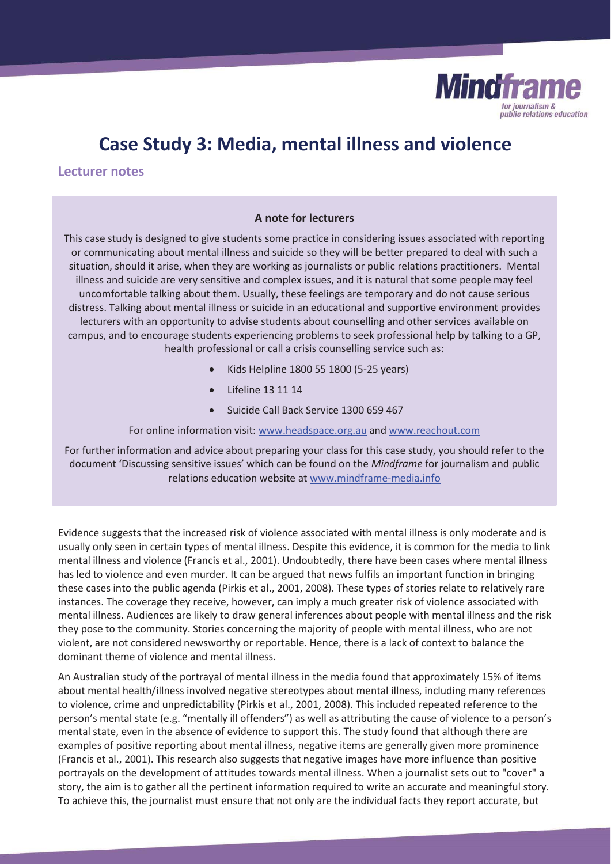

# **Case Study 3: Media, mental illness and violence**

**Lecturer notes**

# **A note for lecturers**

This case study is designed to give students some practice in considering issues associated with reporting or communicating about mental illness and suicide so they will be better prepared to deal with such a situation, should it arise, when they are working as journalists or public relations practitioners. Mental illness and suicide are very sensitive and complex issues, and it is natural that some people may feel uncomfortable talking about them. Usually, these feelings are temporary and do not cause serious distress. Talking about mental illness or suicide in an educational and supportive environment provides lecturers with an opportunity to advise students about counselling and other services available on campus, and to encourage students experiencing problems to seek professional help by talking to a GP, health professional or call a crisis counselling service such as:

- x Kids Helpline 1800 55 1800 (5-25 years)
- x Lifeline 13 11 14
- Suicide Call Back Service 1300 659 467

For online information visit: www.headspace.org.au and www.reachout.com

For further information and advice about preparing your class for this case study, you should refer to the document 'Discussing sensitive issues' which can be found on the *Mindframe* for journalism and public relations education website at www.mindframe-media.info

Evidence suggests that the increased risk of violence associated with mental illness is only moderate and is usually only seen in certain types of mental illness. Despite this evidence, it is common for the media to link mental illness and violence (Francis et al., 2001). Undoubtedly, there have been cases where mental illness has led to violence and even murder. It can be argued that news fulfils an important function in bringing these cases into the public agenda (Pirkis et al., 2001, 2008). These types of stories relate to relatively rare instances. The coverage they receive, however, can imply a much greater risk of violence associated with mental illness. Audiences are likely to draw general inferences about people with mental illness and the risk they pose to the community. Stories concerning the majority of people with mental illness, who are not violent, are not considered newsworthy or reportable. Hence, there is a lack of context to balance the dominant theme of violence and mental illness.

An Australian study of the portrayal of mental illness in the media found that approximately 15% of items about mental health/illness involved negative stereotypes about mental illness, including many references to violence, crime and unpredictability (Pirkis et al., 2001, 2008). This included repeated reference to the person's mental state (e.g. "mentally ill offenders") as well as attributing the cause of violence to a person's mental state, even in the absence of evidence to support this. The study found that although there are examples of positive reporting about mental illness, negative items are generally given more prominence (Francis et al., 2001). This research also suggests that negative images have more influence than positive portrayals on the development of attitudes towards mental illness. When a journalist sets out to "cover" a story, the aim is to gather all the pertinent information required to write an accurate and meaningful story. To achieve this, the journalist must ensure that not only are the individual facts they report accurate, but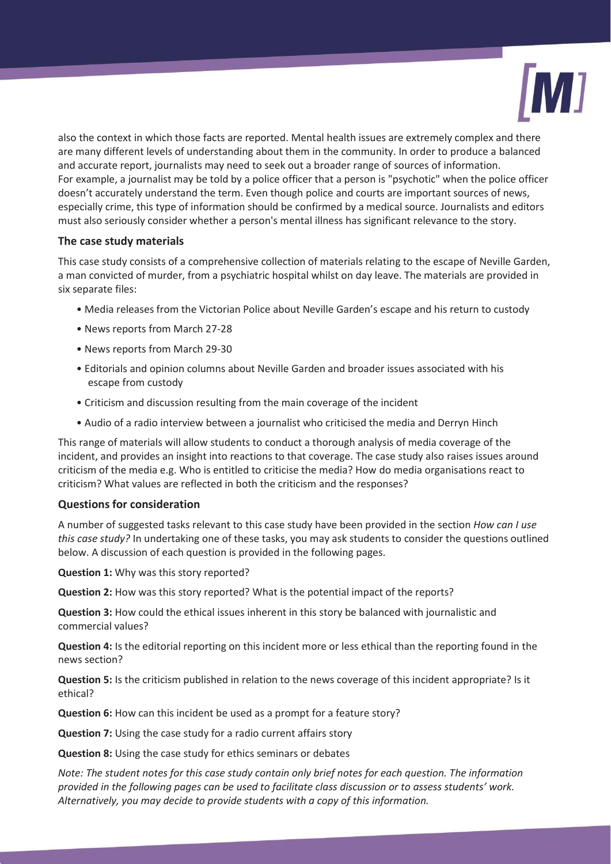

also the context in which those facts are reported. Mental health issues are extremely complex and there are many different levels of understanding about them in the community. In order to produce a balanced and accurate report, journalists may need to seek out a broader range of sources of information. For example, a journalist may be told by a police officer that a person is "psychotic" when the police officer doesn't accurately understand the term. Even though police and courts are important sources of news, especially crime, this type of information should be confirmed by a medical source. Journalists and editors must also seriously consider whether a person's mental illness has significant relevance to the story.

# **The case study materials**

This case study consists of a comprehensive collection of materials relating to the escape of Neville Garden, a man convicted of murder, from a psychiatric hospital whilst on day leave. The materials are provided in six separate files:

- Media releases from the Victorian Police about Neville Garden's escape and his return to custody
- News reports from March 27-28
- News reports from March 29-30
- Editorials and opinion columns about Neville Garden and broader issues associated with his escape from custody
- Criticism and discussion resulting from the main coverage of the incident
- Audio of a radio interview between a journalist who criticised the media and Derryn Hinch

This range of materials will allow students to conduct a thorough analysis of media coverage of the incident, and provides an insight into reactions to that coverage. The case study also raises issues around criticism of the media e.g. Who is entitled to criticise the media? How do media organisations react to criticism? What values are reflected in both the criticism and the responses?

## **Questions for consideration**

A number of suggested tasks relevant to this case study have been provided in the section *How can I use this case study?* In undertaking one of these tasks, you may ask students to consider the questions outlined below. A discussion of each question is provided in the following pages.

**Question 1:** Why was this story reported?

**Question 2:** How was this story reported? What is the potential impact of the reports?

**Question 3:** How could the ethical issues inherent in this story be balanced with journalistic and commercial values?

**Question 4:** Is the editorial reporting on this incident more or less ethical than the reporting found in the news section?

**Question 5:** Is the criticism published in relation to the news coverage of this incident appropriate? Is it ethical?

**Question 6:** How can this incident be used as a prompt for a feature story?

**Question 7:** Using the case study for a radio current affairs story

**Question 8:** Using the case study for ethics seminars or debates

*Note: The student notes for this case study contain only brief notes for each question. The information provided in the following pages can be used to facilitate class discussion or to assess students' work. Alternatively, you may decide to provide students with a copy of this information.*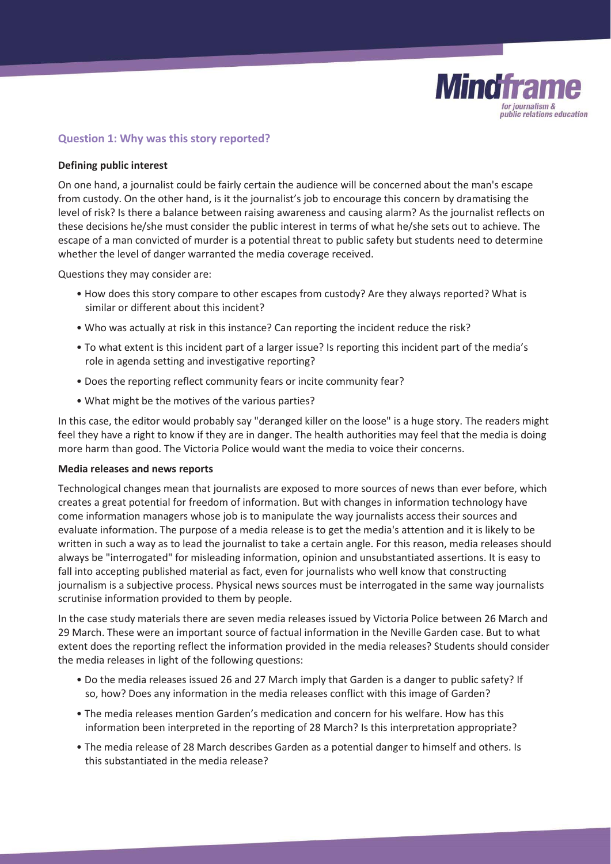

# **Question 1: Why was this story reported?**

#### **Defining public interest**

On one hand, a journalist could be fairly certain the audience will be concerned about the man's escape from custody. On the other hand, is it the journalist's job to encourage this concern by dramatising the level of risk? Is there a balance between raising awareness and causing alarm? As the journalist reflects on these decisions he/she must consider the public interest in terms of what he/she sets out to achieve. The escape of a man convicted of murder is a potential threat to public safety but students need to determine whether the level of danger warranted the media coverage received.

Questions they may consider are:

- How does this story compare to other escapes from custody? Are they always reported? What is similar or different about this incident?
- Who was actually at risk in this instance? Can reporting the incident reduce the risk?
- To what extent is this incident part of a larger issue? Is reporting this incident part of the media's role in agenda setting and investigative reporting?
- Does the reporting reflect community fears or incite community fear?
- What might be the motives of the various parties?

In this case, the editor would probably say "deranged killer on the loose" is a huge story. The readers might feel they have a right to know if they are in danger. The health authorities may feel that the media is doing more harm than good. The Victoria Police would want the media to voice their concerns.

#### **Media releases and news reports**

Technological changes mean that journalists are exposed to more sources of news than ever before, which creates a great potential for freedom of information. But with changes in information technology have come information managers whose job is to manipulate the way journalists access their sources and evaluate information. The purpose of a media release is to get the media's attention and it is likely to be written in such a way as to lead the journalist to take a certain angle. For this reason, media releases should always be "interrogated" for misleading information, opinion and unsubstantiated assertions. It is easy to fall into accepting published material as fact, even for journalists who well know that constructing journalism is a subjective process. Physical news sources must be interrogated in the same way journalists scrutinise information provided to them by people.

In the case study materials there are seven media releases issued by Victoria Police between 26 March and 29 March. These were an important source of factual information in the Neville Garden case. But to what extent does the reporting reflect the information provided in the media releases? Students should consider the media releases in light of the following questions:

- Do the media releases issued 26 and 27 March imply that Garden is a danger to public safety? If so, how? Does any information in the media releases conflict with this image of Garden?
- The media releases mention Garden's medication and concern for his welfare. How has this information been interpreted in the reporting of 28 March? Is this interpretation appropriate?
- The media release of 28 March describes Garden as a potential danger to himself and others. Is this substantiated in the media release?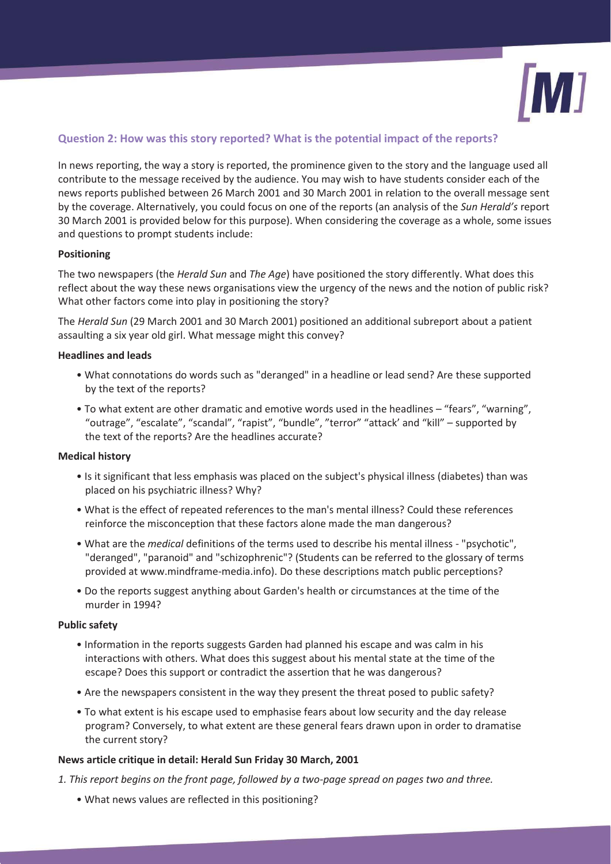

# **Question 2: How was this story reported? What is the potential impact of the reports?**

In news reporting, the way a story is reported, the prominence given to the story and the language used all contribute to the message received by the audience. You may wish to have students consider each of the news reports published between 26 March 2001 and 30 March 2001 in relation to the overall message sent by the coverage. Alternatively, you could focus on one of the reports (an analysis of the *Sun Herald's* report 30 March 2001 is provided below for this purpose). When considering the coverage as a whole, some issues and questions to prompt students include:

## **Positioning**

The two newspapers (the *Herald Sun* and *The Age*) have positioned the story differently. What does this reflect about the way these news organisations view the urgency of the news and the notion of public risk? What other factors come into play in positioning the story?

The *Herald Sun* (29 March 2001 and 30 March 2001) positioned an additional subreport about a patient assaulting a six year old girl. What message might this convey?

## **Headlines and leads**

- What connotations do words such as "deranged" in a headline or lead send? Are these supported by the text of the reports?
- To what extent are other dramatic and emotive words used in the headlines "fears", "warning", "outrage", "escalate", "scandal", "rapist", "bundle", "terror" "attack' and "kill" – supported by the text of the reports? Are the headlines accurate?

## **Medical history**

- Is it significant that less emphasis was placed on the subject's physical illness (diabetes) than was placed on his psychiatric illness? Why?
- What is the effect of repeated references to the man's mental illness? Could these references reinforce the misconception that these factors alone made the man dangerous?
- What are the *medical* definitions of the terms used to describe his mental illness "psychotic", "deranged", "paranoid" and "schizophrenic"? (Students can be referred to the glossary of terms provided at www.mindframe-media.info). Do these descriptions match public perceptions?
- Do the reports suggest anything about Garden's health or circumstances at the time of the murder in 1994?

## **Public safety**

- Information in the reports suggests Garden had planned his escape and was calm in his interactions with others. What does this suggest about his mental state at the time of the escape? Does this support or contradict the assertion that he was dangerous?
- Are the newspapers consistent in the way they present the threat posed to public safety?
- To what extent is his escape used to emphasise fears about low security and the day release program? Conversely, to what extent are these general fears drawn upon in order to dramatise the current story?

## **News article critique in detail: Herald Sun Friday 30 March, 2001**

- *1. This report begins on the front page, followed by a two-page spread on pages two and three.* 
	- What news values are reflected in this positioning?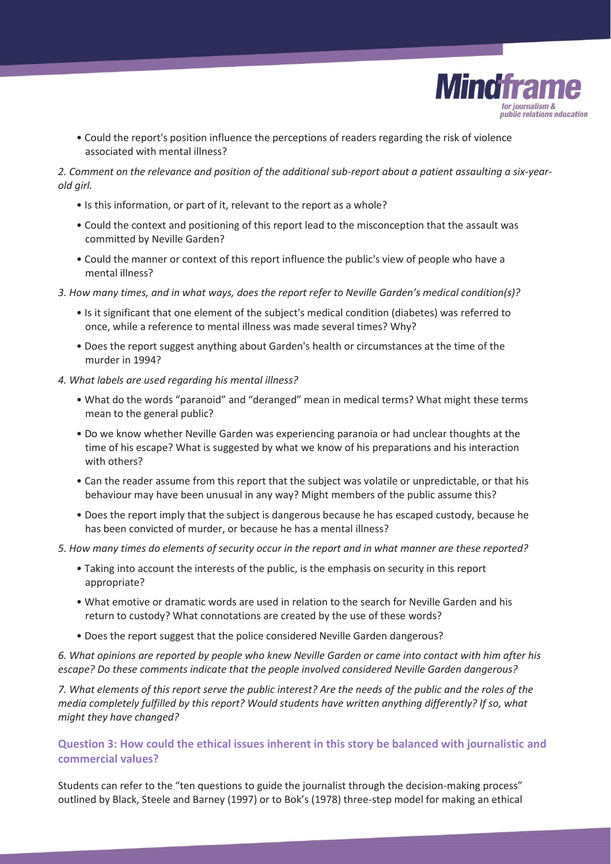

• Could the report's position influence the perceptions of readers regarding the risk of violence associated with mental illness?

# *2. Comment on the relevance and position of the additional sub-report about a patient assaulting a six-yearold girl.*

- Is this information, or part of it, relevant to the report as a whole?
- Could the context and positioning of this report lead to the misconception that the assault was committed by Neville Garden?
- Could the manner or context of this report influence the public's view of people who have a mental illness?
- *3. How many times, and in what ways, does the report refer to Neville Garden's medical condition(s)?* 
	- Is it significant that one element of the subject's medical condition (diabetes) was referred to once, while a reference to mental illness was made several times? Why?
	- Does the report suggest anything about Garden's health or circumstances at the time of the murder in 1994?
- *4. What labels are used regarding his mental illness?* 
	- What do the words "paranoid" and "deranged" mean in medical terms? What might these terms mean to the general public?
	- Do we know whether Neville Garden was experiencing paranoia or had unclear thoughts at the time of his escape? What is suggested by what we know of his preparations and his interaction with others?
	- Can the reader assume from this report that the subject was volatile or unpredictable, or that his behaviour may have been unusual in any way? Might members of the public assume this?
	- Does the report imply that the subject is dangerous because he has escaped custody, because he has been convicted of murder, or because he has a mental illness?
- *5. How many times do elements of security occur in the report and in what manner are these reported?* 
	- Taking into account the interests of the public, is the emphasis on security in this report appropriate?
	- What emotive or dramatic words are used in relation to the search for Neville Garden and his return to custody? What connotations are created by the use of these words?
	- Does the report suggest that the police considered Neville Garden dangerous?

*6. What opinions are reported by people who knew Neville Garden or came into contact with him after his escape? Do these comments indicate that the people involved considered Neville Garden dangerous?* 

*7. What elements of this report serve the public interest? Are the needs of the public and the roles of the media completely fulfilled by this report? Would students have written anything differently? If so, what might they have changed?* 

**Question 3: How could the ethical issues inherent in this story be balanced with journalistic and commercial values?** 

Students can refer to the "ten questions to guide the journalist through the decision-making process" outlined by Black, Steele and Barney (1997) or to Bok's (1978) three-step model for making an ethical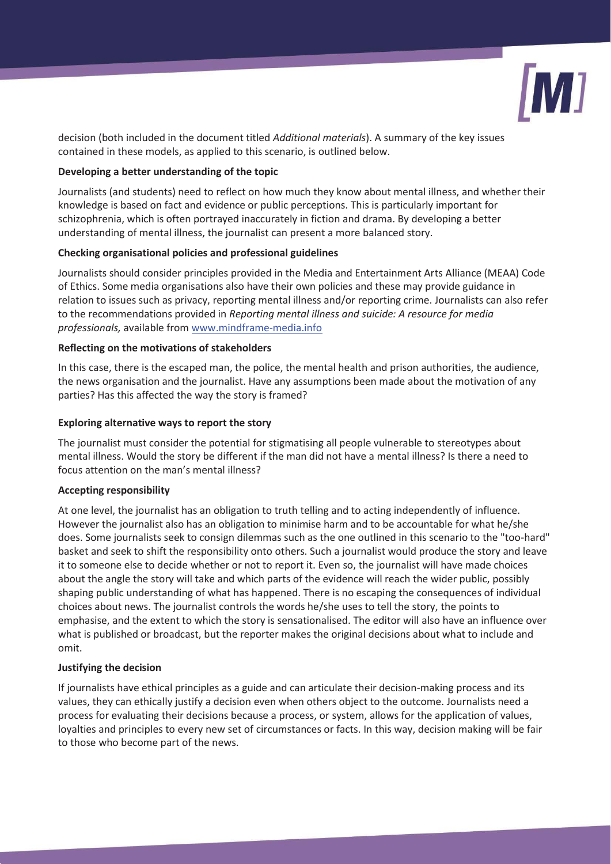

decision (both included in the document titled *Additional materials*). A summary of the key issues contained in these models, as applied to this scenario, is outlined below.

### **Developing a better understanding of the topic**

Journalists (and students) need to reflect on how much they know about mental illness, and whether their knowledge is based on fact and evidence or public perceptions. This is particularly important for schizophrenia, which is often portrayed inaccurately in fiction and drama. By developing a better understanding of mental illness, the journalist can present a more balanced story.

#### **Checking organisational policies and professional guidelines**

Journalists should consider principles provided in the Media and Entertainment Arts Alliance (MEAA) Code of Ethics. Some media organisations also have their own policies and these may provide guidance in relation to issues such as privacy, reporting mental illness and/or reporting crime. Journalists can also refer to the recommendations provided in *Reporting mental illness and suicide: A resource for media professionals,* available from www.mindframe-media.info

#### **Reflecting on the motivations of stakeholders**

In this case, there is the escaped man, the police, the mental health and prison authorities, the audience, the news organisation and the journalist. Have any assumptions been made about the motivation of any parties? Has this affected the way the story is framed?

#### **Exploring alternative ways to report the story**

The journalist must consider the potential for stigmatising all people vulnerable to stereotypes about mental illness. Would the story be different if the man did not have a mental illness? Is there a need to focus attention on the man's mental illness?

#### **Accepting responsibility**

At one level, the journalist has an obligation to truth telling and to acting independently of influence. However the journalist also has an obligation to minimise harm and to be accountable for what he/she does. Some journalists seek to consign dilemmas such as the one outlined in this scenario to the "too-hard" basket and seek to shift the responsibility onto others. Such a journalist would produce the story and leave it to someone else to decide whether or not to report it. Even so, the journalist will have made choices about the angle the story will take and which parts of the evidence will reach the wider public, possibly shaping public understanding of what has happened. There is no escaping the consequences of individual choices about news. The journalist controls the words he/she uses to tell the story, the points to emphasise, and the extent to which the story is sensationalised. The editor will also have an influence over what is published or broadcast, but the reporter makes the original decisions about what to include and omit.

#### **Justifying the decision**

If journalists have ethical principles as a guide and can articulate their decision-making process and its values, they can ethically justify a decision even when others object to the outcome. Journalists need a process for evaluating their decisions because a process, or system, allows for the application of values, loyalties and principles to every new set of circumstances or facts. In this way, decision making will be fair to those who become part of the news.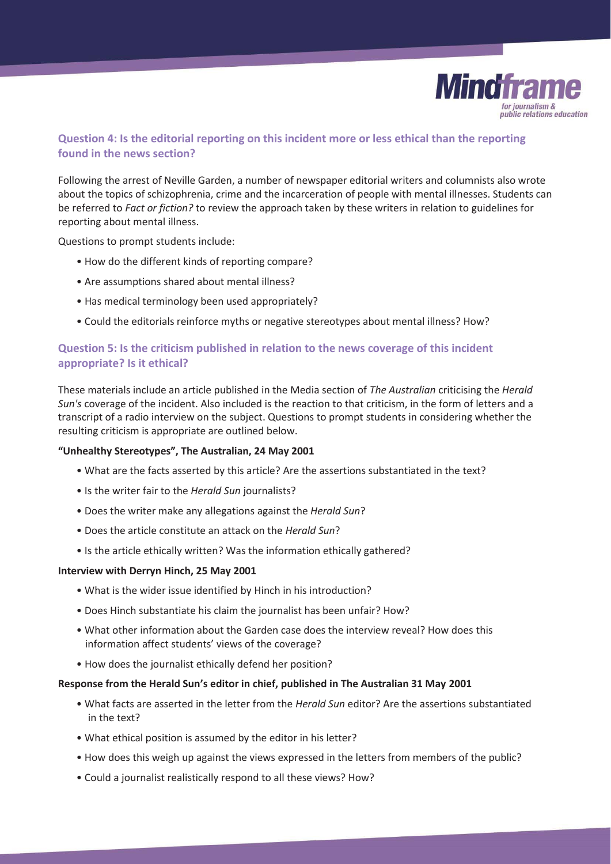

# **Question 4: Is the editorial reporting on this incident more or less ethical than the reporting found in the news section?**

Following the arrest of Neville Garden, a number of newspaper editorial writers and columnists also wrote about the topics of schizophrenia, crime and the incarceration of people with mental illnesses. Students can be referred to *Fact or fiction?* to review the approach taken by these writers in relation to guidelines for reporting about mental illness.

Questions to prompt students include:

- How do the different kinds of reporting compare?
- Are assumptions shared about mental illness?
- Has medical terminology been used appropriately?
- Could the editorials reinforce myths or negative stereotypes about mental illness? How?

# **Question 5: Is the criticism published in relation to the news coverage of this incident appropriate? Is it ethical?**

These materials include an article published in the Media section of *The Australian* criticising the *Herald Sun's* coverage of the incident. Also included is the reaction to that criticism, in the form of letters and a transcript of a radio interview on the subject. Questions to prompt students in considering whether the resulting criticism is appropriate are outlined below.

#### **"Unhealthy Stereotypes", The Australian, 24 May 2001**

- What are the facts asserted by this article? Are the assertions substantiated in the text?
- Is the writer fair to the *Herald Sun* journalists?
- Does the writer make any allegations against the *Herald Sun*?
- Does the article constitute an attack on the *Herald Sun*?
- Is the article ethically written? Was the information ethically gathered?

#### **Interview with Derryn Hinch, 25 May 2001**

- What is the wider issue identified by Hinch in his introduction?
- Does Hinch substantiate his claim the journalist has been unfair? How?
- What other information about the Garden case does the interview reveal? How does this information affect students' views of the coverage?
- How does the journalist ethically defend her position?

#### **Response from the Herald Sun's editor in chief, published in The Australian 31 May 2001**

- What facts are asserted in the letter from the *Herald Sun* editor? Are the assertions substantiated in the text?
- What ethical position is assumed by the editor in his letter?
- How does this weigh up against the views expressed in the letters from members of the public?
- Could a journalist realistically respond to all these views? How?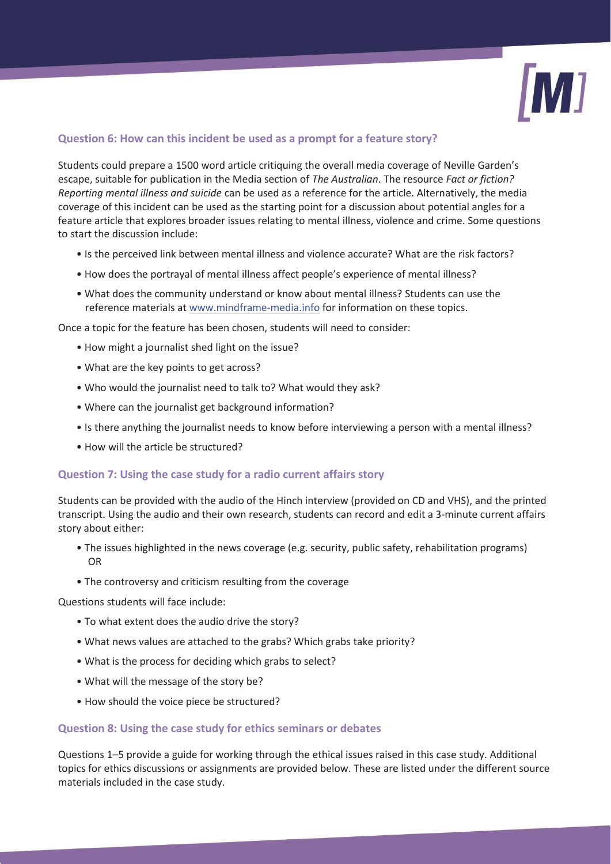

# **Question 6: How can this incident be used as a prompt for a feature story?**

Students could prepare a 1500 word article critiquing the overall media coverage of Neville Garden's escape, suitable for publication in the Media section of *The Australian*. The resource *Fact or fiction? Reporting mental illness and suicide* can be used as a reference for the article. Alternatively, the media coverage of this incident can be used as the starting point for a discussion about potential angles for a feature article that explores broader issues relating to mental illness, violence and crime. Some questions to start the discussion include:

- Is the perceived link between mental illness and violence accurate? What are the risk factors?
- How does the portrayal of mental illness affect people's experience of mental illness?
- What does the community understand or know about mental illness? Students can use the reference materials at www.mindframe-media.info for information on these topics.

Once a topic for the feature has been chosen, students will need to consider:

- How might a journalist shed light on the issue?
- What are the key points to get across?
- Who would the journalist need to talk to? What would they ask?
- Where can the journalist get background information?
- Is there anything the journalist needs to know before interviewing a person with a mental illness?
- How will the article be structured?

# **Question 7: Using the case study for a radio current affairs story**

Students can be provided with the audio of the Hinch interview (provided on CD and VHS), and the printed transcript. Using the audio and their own research, students can record and edit a 3-minute current affairs story about either:

- The issues highlighted in the news coverage (e.g. security, public safety, rehabilitation programs) OR
- The controversy and criticism resulting from the coverage

Questions students will face include:

- To what extent does the audio drive the story?
- What news values are attached to the grabs? Which grabs take priority?
- What is the process for deciding which grabs to select?
- What will the message of the story be?
- How should the voice piece be structured?

# **Question 8: Using the case study for ethics seminars or debates**

Questions 1–5 provide a guide for working through the ethical issues raised in this case study. Additional topics for ethics discussions or assignments are provided below. These are listed under the different source materials included in the case study.